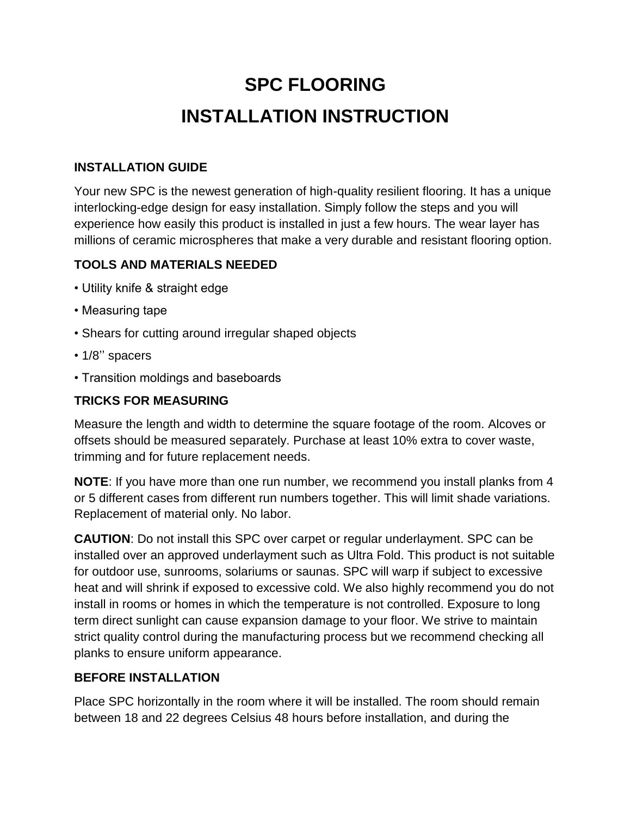# **SPC FLOORING INSTALLATION INSTRUCTION**

## **INSTALLATION GUIDE**

Your new SPC is the newest generation of high-quality resilient flooring. It has a unique interlocking-edge design for easy installation. Simply follow the steps and you will experience how easily this product is installed in just a few hours. The wear layer has millions of ceramic microspheres that make a very durable and resistant flooring option.

#### **TOOLS AND MATERIALS NEEDED**

- Utility knife & straight edge
- Measuring tape
- Shears for cutting around irregular shaped objects
- 1/8'' spacers
- Transition moldings and baseboards

#### **TRICKS FOR MEASURING**

Measure the length and width to determine the square footage of the room. Alcoves or offsets should be measured separately. Purchase at least 10% extra to cover waste, trimming and for future replacement needs.

**NOTE**: If you have more than one run number, we recommend you install planks from 4 or 5 different cases from different run numbers together. This will limit shade variations. Replacement of material only. No labor.

**CAUTION**: Do not install this SPC over carpet or regular underlayment. SPC can be installed over an approved underlayment such as Ultra Fold. This product is not suitable for outdoor use, sunrooms, solariums or saunas. SPC will warp if subject to excessive heat and will shrink if exposed to excessive cold. We also highly recommend you do not install in rooms or homes in which the temperature is not controlled. Exposure to long term direct sunlight can cause expansion damage to your floor. We strive to maintain strict quality control during the manufacturing process but we recommend checking all planks to ensure uniform appearance.

#### **BEFORE INSTALLATION**

Place SPC horizontally in the room where it will be installed. The room should remain between 18 and 22 degrees Celsius 48 hours before installation, and during the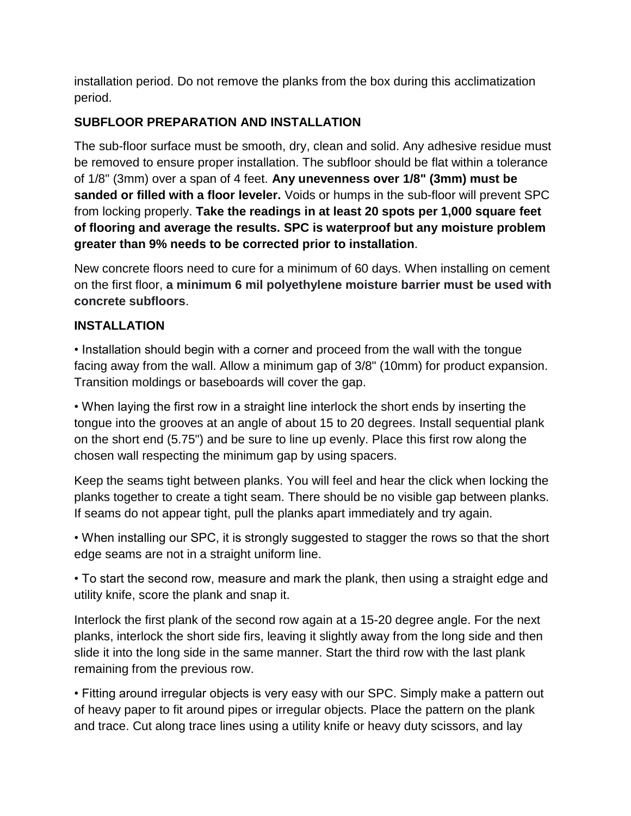installation period. Do not remove the planks from the box during this acclimatization period.

# **SUBFLOOR PREPARATION AND INSTALLATION**

The sub-floor surface must be smooth, dry, clean and solid. Any adhesive residue must be removed to ensure proper installation. The subfloor should be flat within a tolerance of 1/8" (3mm) over a span of 4 feet. **Any unevenness over 1/8" (3mm) must be sanded or filled with a floor leveler.** Voids or humps in the sub-floor will prevent SPC from locking properly. **Take the readings in at least 20 spots per 1,000 square feet of flooring and average the results. SPC is waterproof but any moisture problem greater than 9% needs to be corrected prior to installation**.

New concrete floors need to cure for a minimum of 60 days. When installing on cement on the first floor, **a minimum 6 mil polyethylene moisture barrier must be used with concrete subfloors**.

## **INSTALLATION**

• Installation should begin with a corner and proceed from the wall with the tongue facing away from the wall. Allow a minimum gap of 3/8" (10mm) for product expansion. Transition moldings or baseboards will cover the gap.

• When laying the first row in a straight line interlock the short ends by inserting the tongue into the grooves at an angle of about 15 to 20 degrees. Install sequential plank on the short end (5.75") and be sure to line up evenly. Place this first row along the chosen wall respecting the minimum gap by using spacers.

Keep the seams tight between planks. You will feel and hear the click when locking the planks together to create a tight seam. There should be no visible gap between planks. If seams do not appear tight, pull the planks apart immediately and try again.

• When installing our SPC, it is strongly suggested to stagger the rows so that the short edge seams are not in a straight uniform line.

• To start the second row, measure and mark the plank, then using a straight edge and utility knife, score the plank and snap it.

Interlock the first plank of the second row again at a 15-20 degree angle. For the next planks, interlock the short side firs, leaving it slightly away from the long side and then slide it into the long side in the same manner. Start the third row with the last plank remaining from the previous row.

• Fitting around irregular objects is very easy with our SPC. Simply make a pattern out of heavy paper to fit around pipes or irregular objects. Place the pattern on the plank and trace. Cut along trace lines using a utility knife or heavy duty scissors, and lay